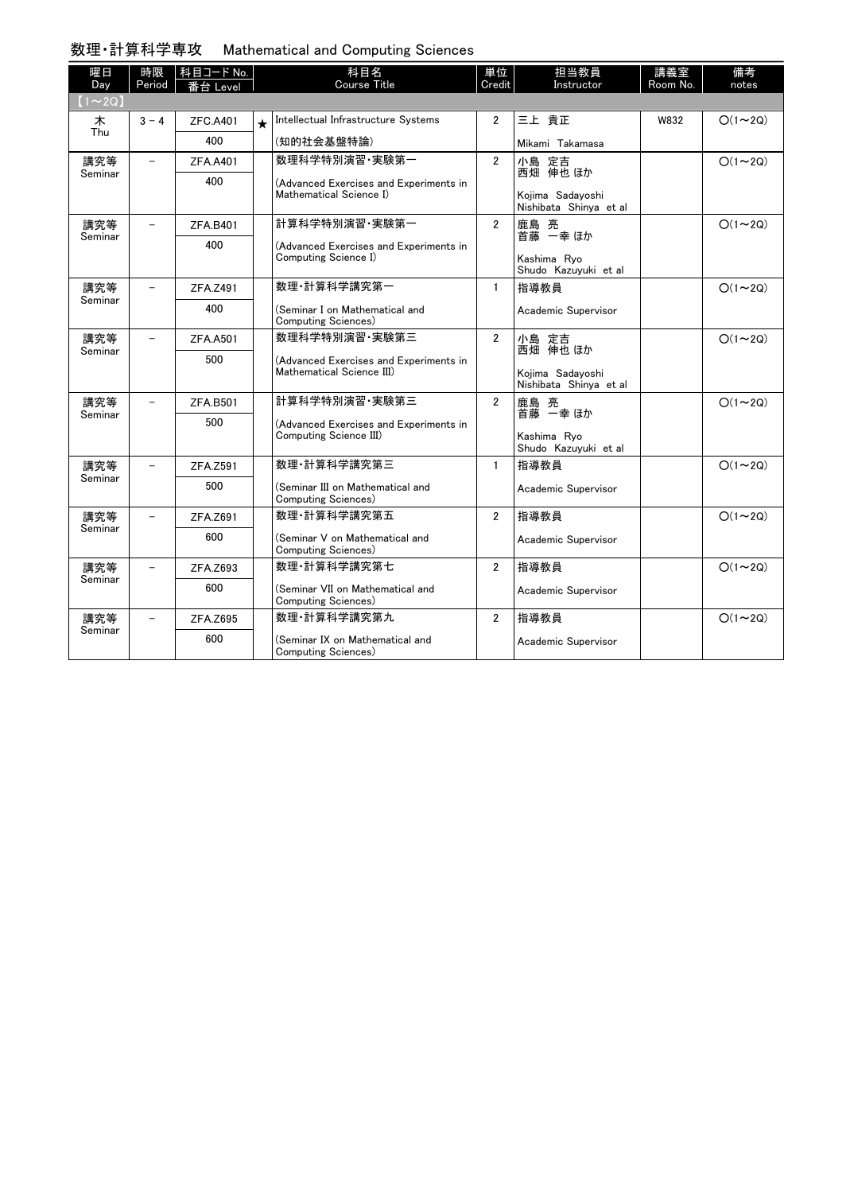## 数理・計算科学専攻 Mathematical and Computing Sciences

| 曜日             | 時限                       | 科目コード No.       |            | 科目名                                                                               | 単位             | 担当教員                                       | 講義室      | 備考            |  |  |  |
|----------------|--------------------------|-----------------|------------|-----------------------------------------------------------------------------------|----------------|--------------------------------------------|----------|---------------|--|--|--|
| Day            | Period                   | 番台 Level        |            | <b>Course Title</b>                                                               | Credit         | Instructor                                 | Room No. | notes         |  |  |  |
| $(1\sim 2Q)$   |                          |                 |            |                                                                                   |                |                                            |          |               |  |  |  |
| 木<br>Thu       | $3 - 4$                  | <b>ZFC.A401</b> | $\bigstar$ | Intellectual Infrastructure Systems                                               | $\overline{2}$ | 三上 貴正                                      | W832     | $O(1\sim 2Q)$ |  |  |  |
|                |                          | 400             |            | (知的社会基盤特論)                                                                        |                | Mikami Takamasa                            |          |               |  |  |  |
| 講究等<br>Seminar |                          | <b>ZFA.A401</b> |            | 数理科学特別演習 実験第一                                                                     | $\overline{2}$ | 小島 定吉<br>西畑 伸也 ほか                          |          | $O(1\sim 2Q)$ |  |  |  |
|                |                          | 400             |            | (Advanced Exercises and Experiments in<br>Mathematical Science I)                 |                | Kojima Sadavoshi<br>Nishibata Shinya et al |          |               |  |  |  |
| 講究等<br>Seminar |                          | ZFA.B401        |            | 計算科学特別演習·実験第一                                                                     | $\overline{2}$ | 鹿島 亮<br>首藤 一幸 ほか                           |          | $O(1\sim 2Q)$ |  |  |  |
|                |                          | 400             |            | (Advanced Exercises and Experiments in<br>Computing Science I)                    |                | Kashima Rvo<br>Shudo Kazuyuki et al        |          |               |  |  |  |
| 講究等<br>Seminar |                          | ZFA.Z491        |            | 数理 計算科学講究第一                                                                       | $\mathbf{1}$   | 指導教員                                       |          | $O(1\sim 2Q)$ |  |  |  |
|                |                          | 400             |            | (Seminar I on Mathematical and<br>Computing Sciences)                             |                | Academic Supervisor                        |          |               |  |  |  |
| 講究等<br>Seminar | $\equiv$                 | <b>ZFA.A501</b> |            | 数理科学特別演習·実験第三                                                                     | $\overline{2}$ | 小島 定吉<br>西畑 伸也 ほか                          |          | $O(1\sim 2Q)$ |  |  |  |
|                |                          | 500             |            | (Advanced Exercises and Experiments in<br>Mathematical Science III)               |                | Kojima Sadayoshi<br>Nishibata Shinya et al |          |               |  |  |  |
| 講究等<br>Seminar | $\overline{\phantom{0}}$ | ZFA.B501        |            | 計算科学特別演習 実験第三<br>(Advanced Exercises and Experiments in<br>Computing Science III) | $\overline{2}$ | 鹿島 亮<br>首藤 一幸 ほか                           |          | $O(1\sim 2Q)$ |  |  |  |
|                |                          | 500             |            |                                                                                   |                | Kashima Rvo<br>Shudo Kazuyuki et al        |          |               |  |  |  |
| 講究等            | $\overline{\phantom{0}}$ | ZFA.Z591        |            | 数理 計算科学講究第三                                                                       | $\mathbf{1}$   | 指導教員                                       |          | $O(1\sim 2Q)$ |  |  |  |
| Seminar        |                          | 500             |            | (Seminar III on Mathematical and<br>Computing Sciences)                           |                | Academic Supervisor                        |          |               |  |  |  |
| 講究等<br>Seminar |                          | ZFA.Z691        |            | 数理 計算科学講究第五                                                                       | $\overline{2}$ | 指導教員                                       |          | $O(1\sim 2Q)$ |  |  |  |
|                |                          | 600             |            | (Seminar V on Mathematical and<br>Computing Sciences)                             |                | Academic Supervisor                        |          |               |  |  |  |
| 講究等<br>Seminar |                          | ZFA.Z693        |            | 数理 計算科学講究第七                                                                       | $\overline{2}$ | 指導教員                                       |          | $O(1\sim 2Q)$ |  |  |  |
|                |                          | 600             |            | (Seminar VII on Mathematical and<br>Computing Sciences)                           |                | Academic Supervisor                        |          |               |  |  |  |
| 講究等<br>Seminar | $\equiv$                 | ZFA.Z695        |            | 数理·計算科学講究第九                                                                       | $\overline{2}$ | 指導教員                                       |          | $O(1\sim 2Q)$ |  |  |  |
|                |                          | 600             |            | (Seminar IX on Mathematical and<br>Computing Sciences)                            |                | Academic Supervisor                        |          |               |  |  |  |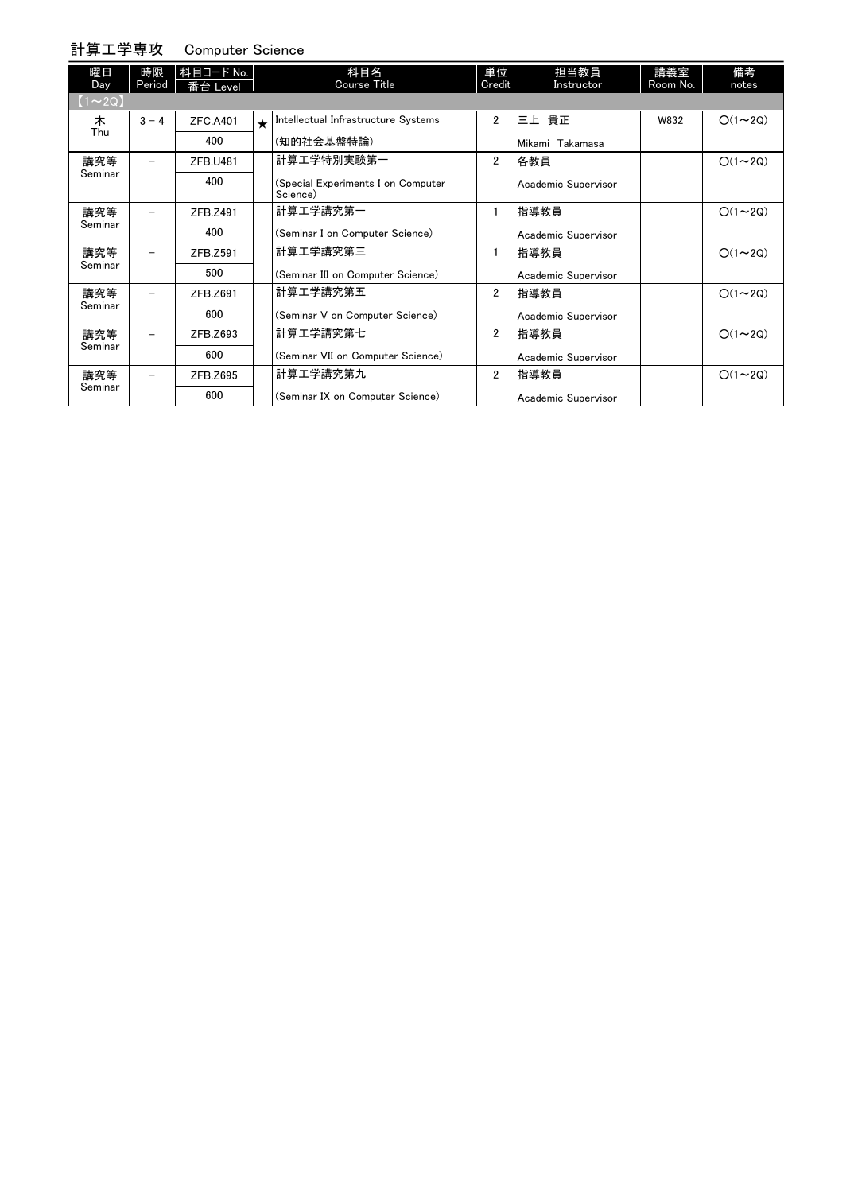## 計算工学専攻 Computer Science

| 曜日<br>Day      | 時限<br>Period             | 科目コード No.<br>番台 Level |         | 科目名<br><b>Course Title</b>                     | 単位<br>Credit   | 担当教員<br>Instructor  | 講義室<br>Room No. | 備考<br>notes   |
|----------------|--------------------------|-----------------------|---------|------------------------------------------------|----------------|---------------------|-----------------|---------------|
| $(1 \sim 2Q)$  |                          |                       |         |                                                |                |                     |                 |               |
| 木<br>Thu       | $3 - 4$                  | ZFC.A401              | $\star$ | Intellectual Infrastructure Systems            | $\overline{2}$ | 三上 貴正               | W832            | $O(1\sim 2Q)$ |
|                |                          | 400                   |         | (知的社会基盤特論)                                     |                | Mikami Takamasa     |                 |               |
| 講究等<br>Seminar |                          | ZFB.U481              |         | 計算工学特別実験第一                                     | $\overline{2}$ | 各教員                 |                 | $O(1\sim 2Q)$ |
|                |                          | 400                   |         | (Special Experiments I on Computer<br>Science) |                | Academic Supervisor |                 |               |
| 講究等<br>Seminar |                          | ZFB.Z491              |         | 計算工学講究第一                                       | 1              | 指導教員                |                 | $O(1\sim 2Q)$ |
|                |                          | 400                   |         | (Seminar I on Computer Science)                |                | Academic Supervisor |                 |               |
| 講究等<br>Seminar |                          | ZFB.Z591              |         | 計算工学講究第三                                       | 1              | 指導教員                |                 | $O(1\sim 2Q)$ |
|                |                          | 500                   |         | (Seminar III on Computer Science)              |                | Academic Supervisor |                 |               |
| 講究等<br>Seminar | $\overline{\phantom{0}}$ | ZFB.Z691              |         | 計算工学講究第五                                       | $\overline{2}$ | 指導教員                |                 | $O(1\sim 2Q)$ |
|                |                          | 600                   |         | (Seminar V on Computer Science)                |                | Academic Supervisor |                 |               |
| 講究等<br>Seminar |                          | ZFB.Z693              |         | 計算工学講究第七                                       | $\overline{2}$ | 指導教員                |                 | $O(1\sim 2Q)$ |
|                |                          | 600                   |         | (Seminar VII on Computer Science)              |                | Academic Supervisor |                 |               |
| 講究等<br>Seminar |                          | ZFB.Z695              |         | 計算工学講究第九                                       | $\overline{2}$ | 指導教員                |                 | $O(1\sim 2Q)$ |
|                |                          | 600                   |         | (Seminar IX on Computer Science)               |                | Academic Supervisor |                 |               |